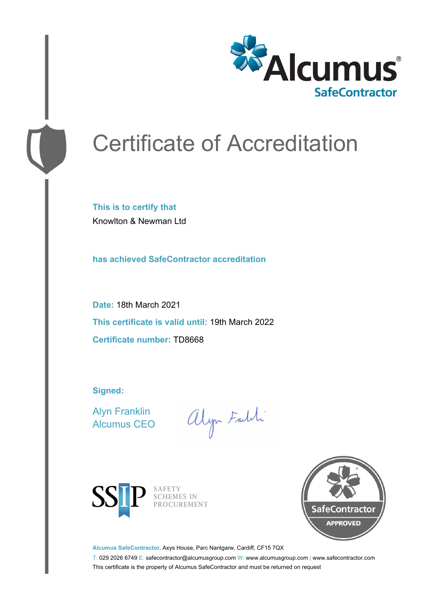

# Certificate of Accreditation

**This is to certify that** Knowlton & Newman Ltd

**has achieved SafeContractor accreditation**

**Date:** 18th March 2021 **This certificate is valid until:** 19th March 2022 **Certificate number:** TD8668

**Signed:**

Alyn Franklin Alcumus CEO

alyn Faith



SAFETY<br>SCHEMES IN PROCUREMENT



**Alcumus SafeContractor,** Axys House, Parc Nantgarw, Cardiff, CF15 7QX

T: 029 2026 6749 E: safecontractor@alcumusgroup.com W: www.alcumusgroup.com | www.safecontractor.com This certificate is the property of Alcumus SafeContractor and must be returned on request